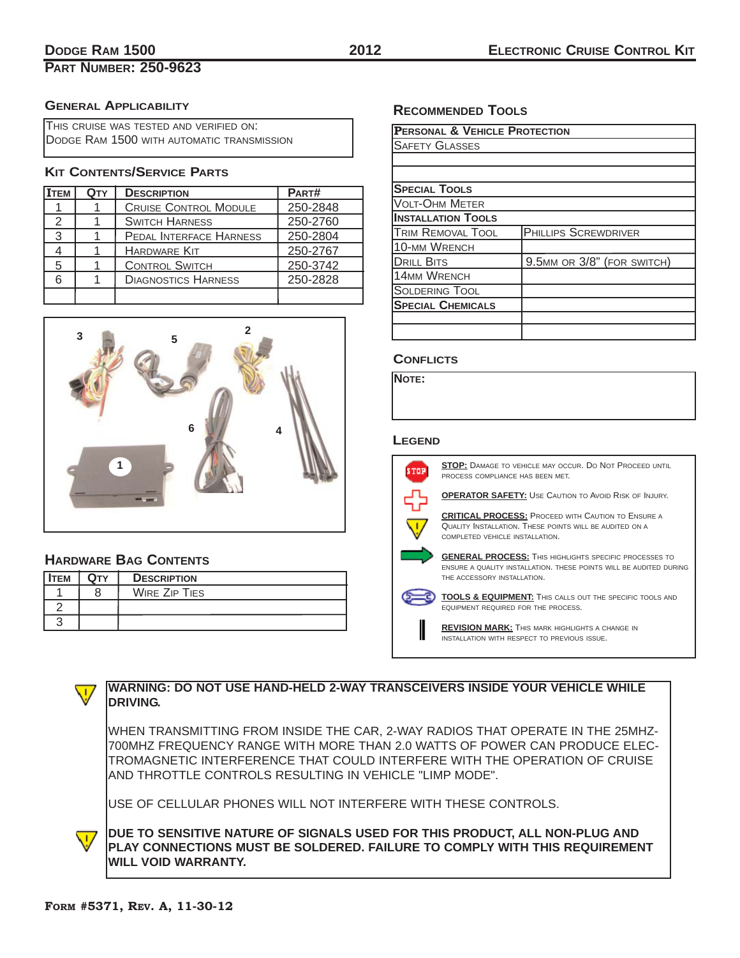### **DODGE RAM 1500 2012**

# **PART NUMBER: 250-9623**

#### **GENERAL APPLICABILITY**

| THIS CRUISE WAS TESTED AND VERIFIED ON:    |  |
|--------------------------------------------|--|
| DODGE RAM 1500 WITH AUTOMATIC TRANSMISSION |  |

#### **KIT CONTENTS/SERVICE PARTS**

| <b>ITEM</b> | QTY | <b>DESCRIPTION</b>           | PART#    |
|-------------|-----|------------------------------|----------|
|             |     | <b>CRUISE CONTROL MODULE</b> | 250-2848 |
| 2           |     | <b>SWITCH HARNESS</b>        | 250-2760 |
| 3           |     | PEDAL INTERFACE HARNESS      | 250-2804 |
|             |     | <b>HARDWARE KIT</b>          | 250-2767 |
| 5           |     | <b>CONTROL SWITCH</b>        | 250-3742 |
| 6           |     | <b>DIAGNOSTICS HARNESS</b>   | 250-2828 |
|             |     |                              |          |



### **HARDWARE BAG CONTENTS**

| <b>ITEM</b> | Ωтν | <b>DESCRIPTION</b>   |
|-------------|-----|----------------------|
|             |     | <b>WIRE ZIP TIES</b> |
|             |     |                      |
|             |     |                      |

### **RECOMMENDED TOOLS**

| <b>PERSONAL &amp; VEHICLE PROTECTION</b> |                             |  |  |  |
|------------------------------------------|-----------------------------|--|--|--|
| <b>SAFETY GLASSES</b>                    |                             |  |  |  |
|                                          |                             |  |  |  |
|                                          |                             |  |  |  |
| <b>SPECIAL TOOLS</b>                     |                             |  |  |  |
| <b>VOLT-OHM METER</b>                    |                             |  |  |  |
| <b>INSTALLATION TOOLS</b>                |                             |  |  |  |
| <b>TRIM REMOVAL TOOL</b>                 | <b>PHILLIPS SCREWDRIVER</b> |  |  |  |
| <b>10-MM WRENCH</b>                      |                             |  |  |  |
| <b>DRILL BITS</b>                        | 9.5MM OR 3/8" (FOR SWITCH)  |  |  |  |
| <b>14MM WRENCH</b>                       |                             |  |  |  |
| <b>SOLDERING TOOL</b>                    |                             |  |  |  |
| <b>SPECIAL CHEMICALS</b>                 |                             |  |  |  |
|                                          |                             |  |  |  |
|                                          |                             |  |  |  |

#### **CONFLICTS**

**NOTE:**

#### **LEGEND**



**STOP:** DAMAGE TO VEHICLE MAY OCCUR. DO NOT PROCEED UNTIL PROCESS COMPLIANCE HAS BEEN MET.

**OPERATOR SAFETY:** USE CAUTION TO AVOID RISK OF INJURY.

**CRITICAL PROCESS:** PROCEED WITH CAUTION TO ENSURE A QUALITY INSTALLATION. THESE POINTS WILL BE AUDITED ON A COMPLETED VEHICLE INSTALLATION.

**GENERAL PROCESS:** THIS HIGHLIGHTS SPECIFIC PROCESSES TO ENSURE A QUALITY INSTALLATION. THESE POINTS WILL BE AUDITED DURING THE ACCESSORY INSTALLATION.

**TOOLS & EQUIPMENT:** THIS CALLS OUT THE SPECIFIC TOOLS AND EQUIPMENT REQUIRED FOR THE PROCESS.

**REVISION MARK:** THIS MARK HIGHLIGHTS A CHANGE IN INSTALLATION WITH RESPECT TO PREVIOUS ISSUE.



 $\overline{\mathsf{U}}$ 

#### **WARNING: DO NOT USE HAND-HELD 2-WAY TRANSCEIVERS INSIDE YOUR VEHICLE WHILE DRIVING.**

WHEN TRANSMITTING FROM INSIDE THE CAR, 2-WAY RADIOS THAT OPERATE IN THE 25MHZ-700MHZ FREQUENCY RANGE WITH MORE THAN 2.0 WATTS OF POWER CAN PRODUCE ELEC-TROMAGNETIC INTERFERENCE THAT COULD INTERFERE WITH THE OPERATION OF CRUISE AND THROTTLE CONTROLS RESULTING IN VEHICLE "LIMP MODE".

USE OF CELLULAR PHONES WILL NOT INTERFERE WITH THESE CONTROLS.

**DUE TO SENSITIVE NATURE OF SIGNALS USED FOR THIS PRODUCT, ALL NON-PLUG AND PLAY CONNECTIONS MUST BE SOLDERED. FAILURE TO COMPLY WITH THIS REQUIREMENT WILL VOID WARRANTY.**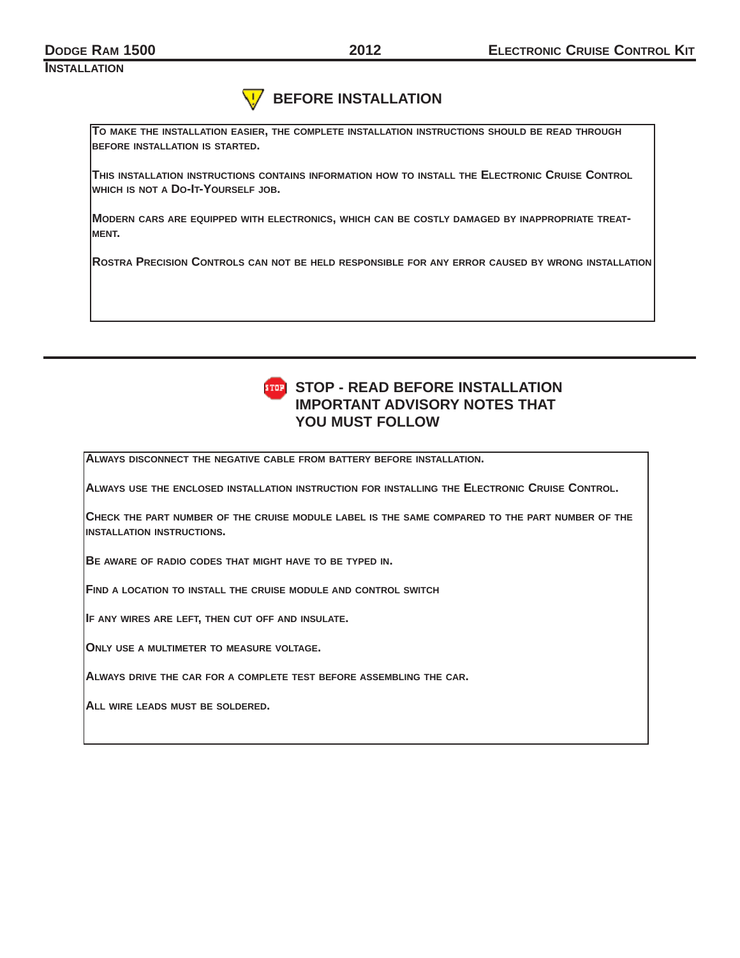**INSTALLATION**

#### **BEFORE INSTALLATION V**

**TO MAKE THE INSTALLATION EASIER, THE COMPLETE INSTALLATION INSTRUCTIONS SHOULD BE READ THROUGH BEFORE INSTALLATION IS STARTED.**

**THIS INSTALLATION INSTRUCTIONS CONTAINS INFORMATION HOW TO INSTALL THE ELECTRONIC CRUISE CONTROL WHICH IS NOT A DO-IT-YOURSELF JOB.**

**MODERN CARS ARE EQUIPPED WITH ELECTRONICS, WHICH CAN BE COSTLY DAMAGED BY INAPPROPRIATE TREAT-MENT.**

**ROSTRA PRECISION CONTROLS CAN NOT BE HELD RESPONSIBLE FOR ANY ERROR CAUSED BY WRONG INSTALLATION**



## **STOP - READ BEFORE INSTALLATION IMPORTANT ADVISORY NOTES THAT YOU MUST FOLLOW**

**ALWAYS DISCONNECT THE NEGATIVE CABLE FROM BATTERY BEFORE INSTALLATION.**

**ALWAYS USE THE ENCLOSED INSTALLATION INSTRUCTION FOR INSTALLING THE ELECTRONIC CRUISE CONTROL.**

**CHECK THE PART NUMBER OF THE CRUISE MODULE LABEL IS THE SAME COMPARED TO THE PART NUMBER OF THE INSTALLATION INSTRUCTIONS.**

**BE AWARE OF RADIO CODES THAT MIGHT HAVE TO BE TYPED IN.**

**FIND A LOCATION TO INSTALL THE CRUISE MODULE AND CONTROL SWITCH**

**IF ANY WIRES ARE LEFT, THEN CUT OFF AND INSULATE.**

**ONLY USE A MULTIMETER TO MEASURE VOLTAGE.**

**ALWAYS DRIVE THE CAR FOR A COMPLETE TEST BEFORE ASSEMBLING THE CAR.**

**ALL WIRE LEADS MUST BE SOLDERED.**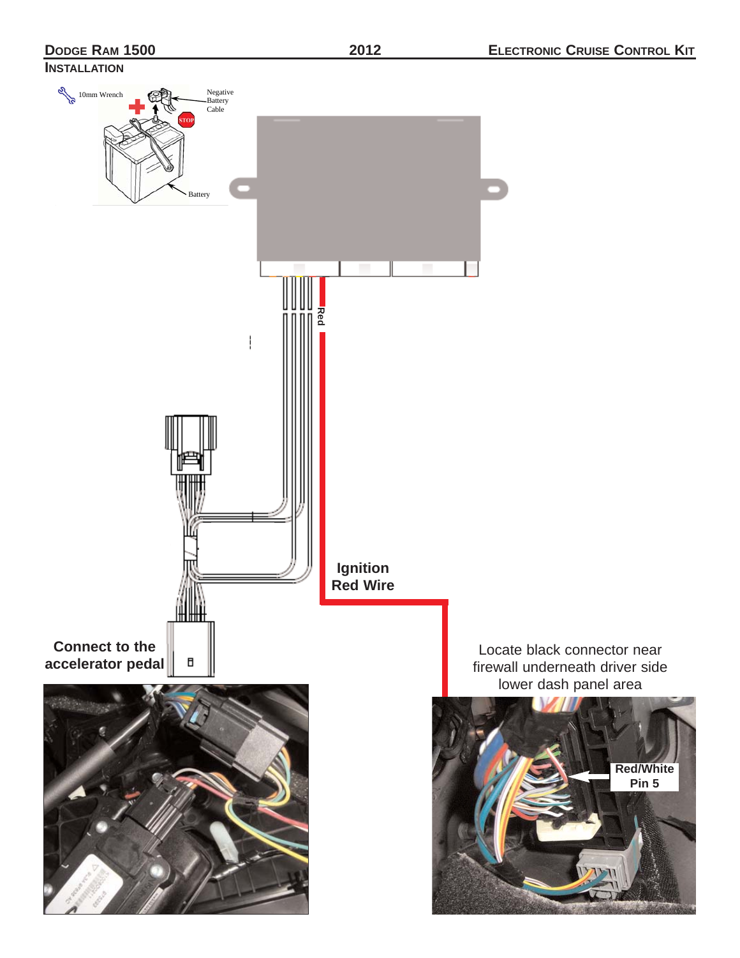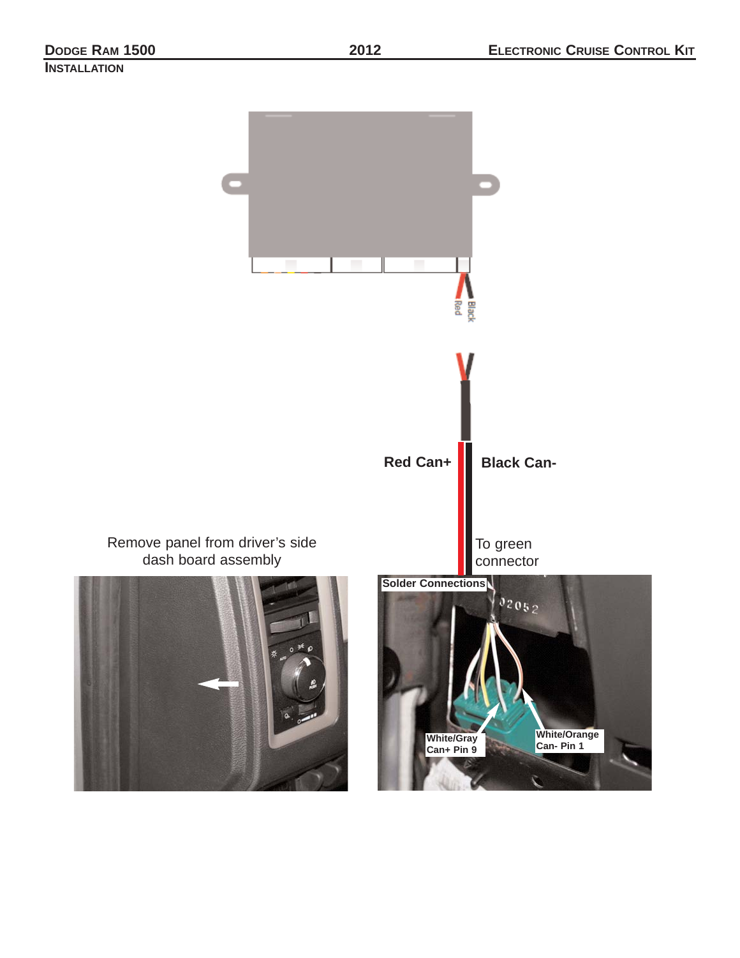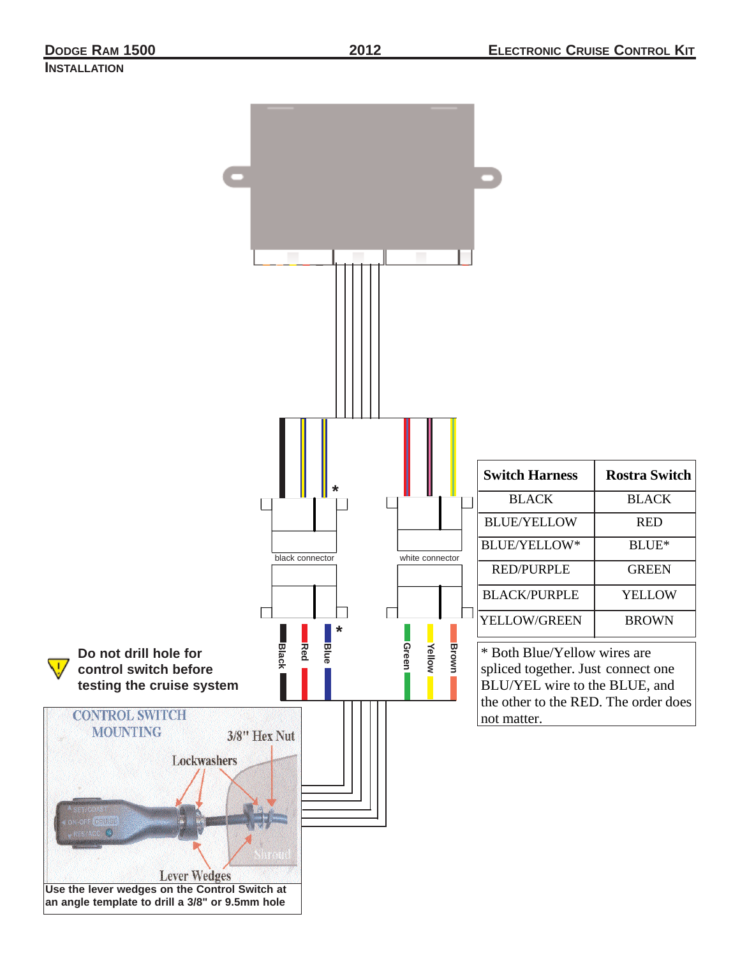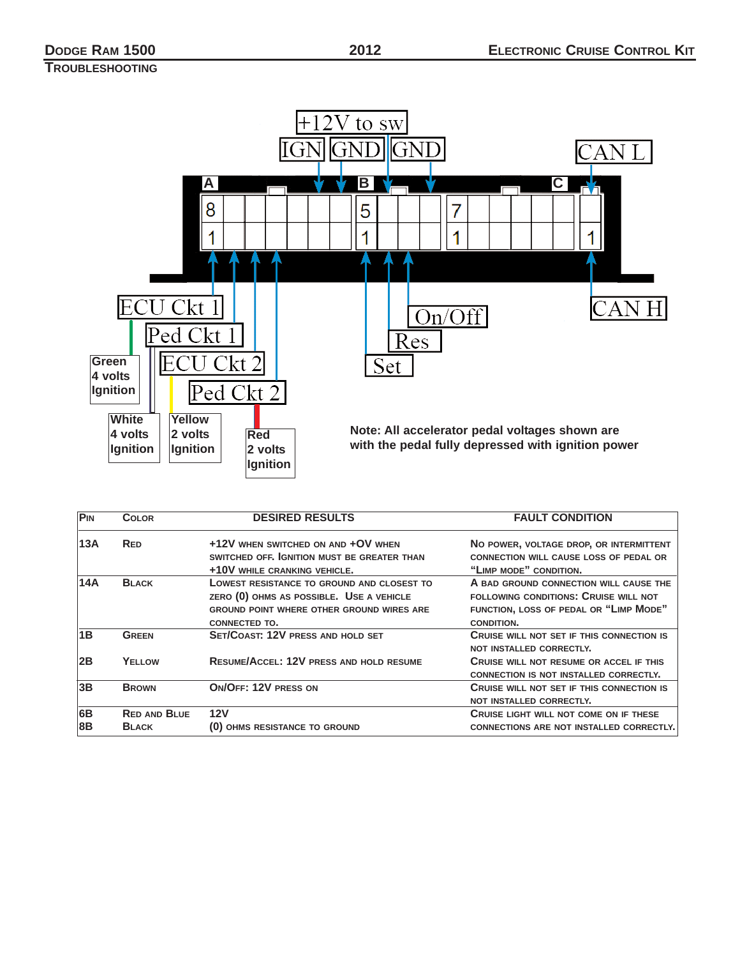# **TROUBLESHOOTING**



| P <sub>IN</sub> | <b>COLOR</b>        | <b>DESIRED RESULTS</b>                           | <b>FAULT CONDITION</b>                           |
|-----------------|---------------------|--------------------------------------------------|--------------------------------------------------|
| 13A             | <b>RED</b>          | +12V WHEN SWITCHED ON AND +OV WHEN               | NO POWER, VOLTAGE DROP, OR INTERMITTENT          |
|                 |                     | SWITCHED OFF. GNITION MUST BE GREATER THAN       | <b>CONNECTION WILL CAUSE LOSS OF PEDAL OR</b>    |
|                 |                     | +10V WHILE CRANKING VEHICLE.                     | "LIMP MODE" CONDITION.                           |
| 14A             | <b>BLACK</b>        | LOWEST RESISTANCE TO GROUND AND CLOSEST TO       | A BAD GROUND CONNECTION WILL CAUSE THE           |
|                 |                     | ZERO (0) OHMS AS POSSIBLE. USE A VEHICLE         | FOLLOWING CONDITIONS: CRUISE WILL NOT            |
|                 |                     | <b>GROUND POINT WHERE OTHER GROUND WIRES ARE</b> | FUNCTION, LOSS OF PEDAL OR "LIMP MODE"           |
|                 |                     | CONNECTED TO.                                    | CONDITION.                                       |
| 1B              | <b>GREEN</b>        | SET/COAST: 12V PRESS AND HOLD SET                | <b>CRUISE WILL NOT SET IF THIS CONNECTION IS</b> |
|                 |                     |                                                  | NOT INSTALLED CORRECTLY.                         |
| 2B              | YELLOW              | <b>RESUME/ACCEL: 12V PRESS AND HOLD RESUME</b>   | <b>CRUISE WILL NOT RESUME OR ACCEL IF THIS</b>   |
|                 |                     |                                                  | <b>CONNECTION IS NOT INSTALLED CORRECTLY.</b>    |
| 3B              | <b>BROWN</b>        | ON/OFF: 12V PRESS ON                             | <b>CRUISE WILL NOT SET IF THIS CONNECTION IS</b> |
|                 |                     |                                                  | NOT INSTALLED CORRECTLY.                         |
| 6B              | <b>RED AND BLUE</b> | <b>12V</b>                                       | <b>CRUISE LIGHT WILL NOT COME ON IF THESE</b>    |
| 8B              | <b>BLACK</b>        | (0) OHMS RESISTANCE TO GROUND                    | <b>CONNECTIONS ARE NOT INSTALLED CORRECTLY.</b>  |